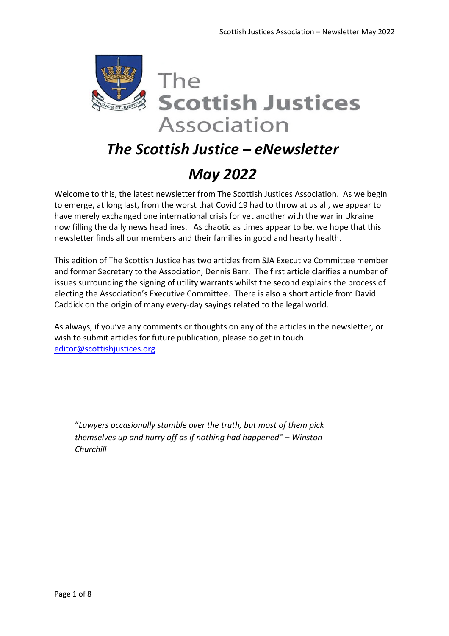

# *The Scottish Justice – eNewsletter May 2022*

Welcome to this, the latest newsletter from The Scottish Justices Association. As we begin to emerge, at long last, from the worst that Covid 19 had to throw at us all, we appear to have merely exchanged one international crisis for yet another with the war in Ukraine now filling the daily news headlines. As chaotic as times appear to be, we hope that this newsletter finds all our members and their families in good and hearty health.

This edition of The Scottish Justice has two articles from SJA Executive Committee member and former Secretary to the Association, Dennis Barr. The first article clarifies a number of issues surrounding the signing of utility warrants whilst the second explains the process of electing the Association's Executive Committee. There is also a short article from David Caddick on the origin of many every-day sayings related to the legal world.

As always, if you've any comments or thoughts on any of the articles in the newsletter, or wish to submit articles for future publication, please do get in touch. editor@scottishjustices.org

"*Lawyers occasionally stumble over the truth, but most of them pick themselves up and hurry off as if nothing had happened"* – *Winston Churchill*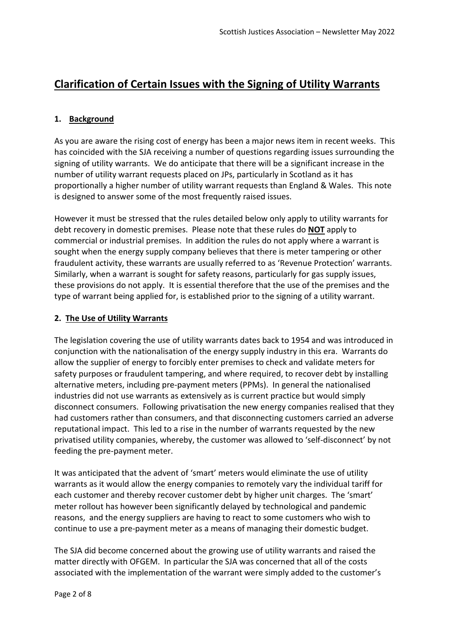# **Clarification of Certain Issues with the Signing of Utility Warrants**

#### **1. Background**

As you are aware the rising cost of energy has been a major news item in recent weeks. This has coincided with the SJA receiving a number of questions regarding issues surrounding the signing of utility warrants. We do anticipate that there will be a significant increase in the number of utility warrant requests placed on JPs, particularly in Scotland as it has proportionally a higher number of utility warrant requests than England & Wales. This note is designed to answer some of the most frequently raised issues.

However it must be stressed that the rules detailed below only apply to utility warrants for debt recovery in domestic premises. Please note that these rules do **NOT** apply to commercial or industrial premises. In addition the rules do not apply where a warrant is sought when the energy supply company believes that there is meter tampering or other fraudulent activity, these warrants are usually referred to as 'Revenue Protection' warrants. Similarly, when a warrant is sought for safety reasons, particularly for gas supply issues, these provisions do not apply. It is essential therefore that the use of the premises and the type of warrant being applied for, is established prior to the signing of a utility warrant.

#### **2. The Use of Utility Warrants**

The legislation covering the use of utility warrants dates back to 1954 and was introduced in conjunction with the nationalisation of the energy supply industry in this era. Warrants do allow the supplier of energy to forcibly enter premises to check and validate meters for safety purposes or fraudulent tampering, and where required, to recover debt by installing alternative meters, including pre-payment meters (PPMs). In general the nationalised industries did not use warrants as extensively as is current practice but would simply disconnect consumers. Following privatisation the new energy companies realised that they had customers rather than consumers, and that disconnecting customers carried an adverse reputational impact. This led to a rise in the number of warrants requested by the new privatised utility companies, whereby, the customer was allowed to 'self-disconnect' by not feeding the pre-payment meter.

It was anticipated that the advent of 'smart' meters would eliminate the use of utility warrants as it would allow the energy companies to remotely vary the individual tariff for each customer and thereby recover customer debt by higher unit charges. The 'smart' meter rollout has however been significantly delayed by technological and pandemic reasons, and the energy suppliers are having to react to some customers who wish to continue to use a pre-payment meter as a means of managing their domestic budget.

The SJA did become concerned about the growing use of utility warrants and raised the matter directly with OFGEM. In particular the SJA was concerned that all of the costs associated with the implementation of the warrant were simply added to the customer's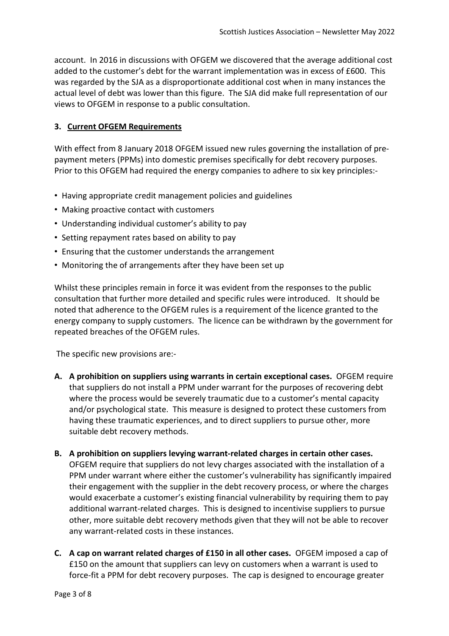account. In 2016 in discussions with OFGEM we discovered that the average additional cost added to the customer's debt for the warrant implementation was in excess of £600. This was regarded by the SJA as a disproportionate additional cost when in many instances the actual level of debt was lower than this figure. The SJA did make full representation of our views to OFGEM in response to a public consultation.

#### **3. Current OFGEM Requirements**

With effect from 8 January 2018 OFGEM issued new rules governing the installation of prepayment meters (PPMs) into domestic premises specifically for debt recovery purposes. Prior to this OFGEM had required the energy companies to adhere to six key principles:-

- Having appropriate credit management policies and guidelines
- Making proactive contact with customers
- Understanding individual customer's ability to pay
- Setting repayment rates based on ability to pay
- Ensuring that the customer understands the arrangement
- Monitoring the of arrangements after they have been set up

Whilst these principles remain in force it was evident from the responses to the public consultation that further more detailed and specific rules were introduced. It should be noted that adherence to the OFGEM rules is a requirement of the licence granted to the energy company to supply customers. The licence can be withdrawn by the government for repeated breaches of the OFGEM rules.

The specific new provisions are:-

- **A. A prohibition on suppliers using warrants in certain exceptional cases.** OFGEM require that suppliers do not install a PPM under warrant for the purposes of recovering debt where the process would be severely traumatic due to a customer's mental capacity and/or psychological state. This measure is designed to protect these customers from having these traumatic experiences, and to direct suppliers to pursue other, more suitable debt recovery methods.
- **B. A prohibition on suppliers levying warrant-related charges in certain other cases.** OFGEM require that suppliers do not levy charges associated with the installation of a PPM under warrant where either the customer's vulnerability has significantly impaired their engagement with the supplier in the debt recovery process, or where the charges would exacerbate a customer's existing financial vulnerability by requiring them to pay additional warrant-related charges. This is designed to incentivise suppliers to pursue other, more suitable debt recovery methods given that they will not be able to recover any warrant-related costs in these instances.
- **C. A cap on warrant related charges of £150 in all other cases.** OFGEM imposed a cap of £150 on the amount that suppliers can levy on customers when a warrant is used to force-fit a PPM for debt recovery purposes. The cap is designed to encourage greater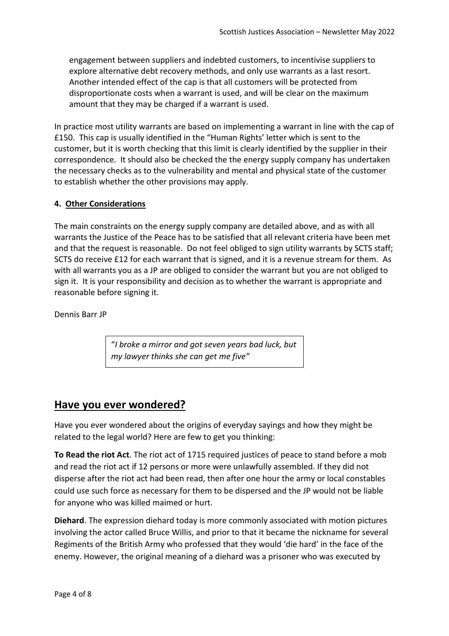engagement between suppliers and indebted customers, to incentivise suppliers to explore alternative debt recovery methods, and only use warrants as a last resort. Another intended effect of the cap is that all customers will be protected from disproportionate costs when a warrant is used, and will be clear on the maximum amount that they may be charged if a warrant is used.

In practice most utility warrants are based on implementing a warrant in line with the cap of £150. This cap is usually identified in the "Human Rights' letter which is sent to the customer, but it is worth checking that this limit is clearly identified by the supplier in their correspondence. It should also be checked the the energy supply company has undertaken the necessary checks as to the vulnerability and mental and physical state of the customer to establish whether the other provisions may apply.

#### **4. Other Considerations**

The main constraints on the energy supply company are detailed above, and as with all warrants the Justice of the Peace has to be satisfied that all relevant criteria have been met and that the request is reasonable. Do not feel obliged to sign utility warrants by SCTS staff; SCTS do receive £12 for each warrant that is signed, and it is a revenue stream for them. As with all warrants you as a JP are obliged to consider the warrant but you are not obliged to sign it. It is your responsibility and decision as to whether the warrant is appropriate and reasonable before signing it.

Dennis Barr JP

"*I broke a mirror and got seven years bad luck, but my lawyer thinks she can get me five"*

### **Have you ever wondered?**

Have you ever wondered about the origins of everyday sayings and how they might be related to the legal world? Here are few to get you thinking:

**To Read the riot Act**. The riot act of 1715 required justices of peace to stand before a mob and read the riot act if 12 persons or more were unlawfully assembled. If they did not disperse after the riot act had been read, then after one hour the army or local constables could use such force as necessary for them to be dispersed and the JP would not be liable for anyone who was killed maimed or hurt.

**Diehard**. The expression diehard today is more commonly associated with motion pictures involving the actor called Bruce Willis, and prior to that it became the nickname for several Regiments of the British Army who professed that they would 'die hard' in the face of the enemy. However, the original meaning of a diehard was a prisoner who was executed by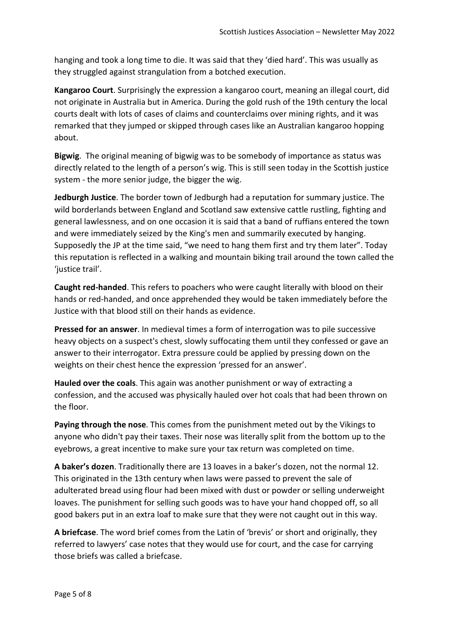hanging and took a long time to die. It was said that they 'died hard'. This was usually as they struggled against strangulation from a botched execution.

**Kangaroo Court**. Surprisingly the expression a kangaroo court, meaning an illegal court, did not originate in Australia but in America. During the gold rush of the 19th century the local courts dealt with lots of cases of claims and counterclaims over mining rights, and it was remarked that they jumped or skipped through cases like an Australian kangaroo hopping about.

**Bigwig**. The original meaning of bigwig was to be somebody of importance as status was directly related to the length of a person's wig. This is still seen today in the Scottish justice system - the more senior judge, the bigger the wig.

**Jedburgh Justice**. The border town of Jedburgh had a reputation for summary justice. The wild borderlands between England and Scotland saw extensive cattle rustling, fighting and general lawlessness, and on one occasion it is said that a band of ruffians entered the town and were immediately seized by the King's men and summarily executed by hanging. Supposedly the JP at the time said, "we need to hang them first and try them later". Today this reputation is reflected in a walking and mountain biking trail around the town called the 'justice trail'.

**Caught red-handed**. This refers to poachers who were caught literally with blood on their hands or red-handed, and once apprehended they would be taken immediately before the Justice with that blood still on their hands as evidence.

**Pressed for an answer**. In medieval times a form of interrogation was to pile successive heavy objects on a suspect's chest, slowly suffocating them until they confessed or gave an answer to their interrogator. Extra pressure could be applied by pressing down on the weights on their chest hence the expression 'pressed for an answer'.

**Hauled over the coals**. This again was another punishment or way of extracting a confession, and the accused was physically hauled over hot coals that had been thrown on the floor.

**Paying through the nose**. This comes from the punishment meted out by the Vikings to anyone who didn't pay their taxes. Their nose was literally split from the bottom up to the eyebrows, a great incentive to make sure your tax return was completed on time.

**A baker's dozen**. Traditionally there are 13 loaves in a baker's dozen, not the normal 12. This originated in the 13th century when laws were passed to prevent the sale of adulterated bread using flour had been mixed with dust or powder or selling underweight loaves. The punishment for selling such goods was to have your hand chopped off, so all good bakers put in an extra loaf to make sure that they were not caught out in this way.

**A briefcase**. The word brief comes from the Latin of 'brevis' or short and originally, they referred to lawyers' case notes that they would use for court, and the case for carrying those briefs was called a briefcase.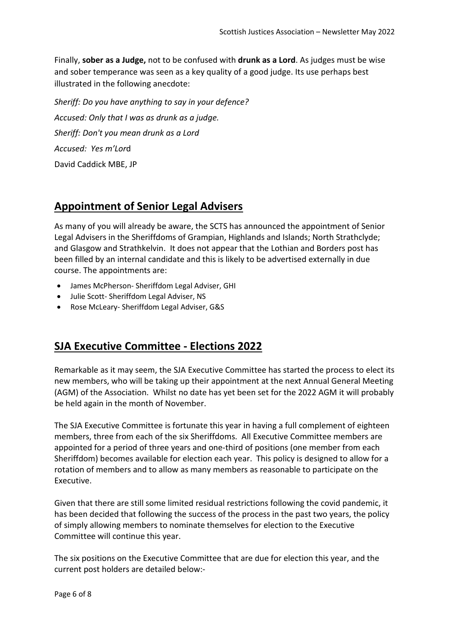Finally, **sober as a Judge,** not to be confused with **drunk as a Lord**. As judges must be wise and sober temperance was seen as a key quality of a good judge. Its use perhaps best illustrated in the following anecdote:

*Sheriff: Do you have anything to say in your defence? Accused: Only that I was as drunk as a judge. Sheriff: Don't you mean drunk as a Lord Accused: Yes m'Lor*d David Caddick MBE, JP

## **Appointment of Senior Legal Advisers**

As many of you will already be aware, the SCTS has announced the appointment of Senior Legal Advisers in the Sheriffdoms of Grampian, Highlands and Islands; North Strathclyde; and Glasgow and Strathkelvin. It does not appear that the Lothian and Borders post has been filled by an internal candidate and this is likely to be advertised externally in due course. The appointments are:

- James McPherson- Sheriffdom Legal Adviser, GHI
- Julie Scott- Sheriffdom Legal Adviser, NS
- Rose McLeary- Sheriffdom Legal Adviser, G&S

## **SJA Executive Committee - Elections 2022**

Remarkable as it may seem, the SJA Executive Committee has started the process to elect its new members, who will be taking up their appointment at the next Annual General Meeting (AGM) of the Association. Whilst no date has yet been set for the 2022 AGM it will probably be held again in the month of November.

The SJA Executive Committee is fortunate this year in having a full complement of eighteen members, three from each of the six Sheriffdoms. All Executive Committee members are appointed for a period of three years and one-third of positions (one member from each Sheriffdom) becomes available for election each year. This policy is designed to allow for a rotation of members and to allow as many members as reasonable to participate on the Executive.

Given that there are still some limited residual restrictions following the covid pandemic, it has been decided that following the success of the process in the past two years, the policy of simply allowing members to nominate themselves for election to the Executive Committee will continue this year.

The six positions on the Executive Committee that are due for election this year, and the current post holders are detailed below:-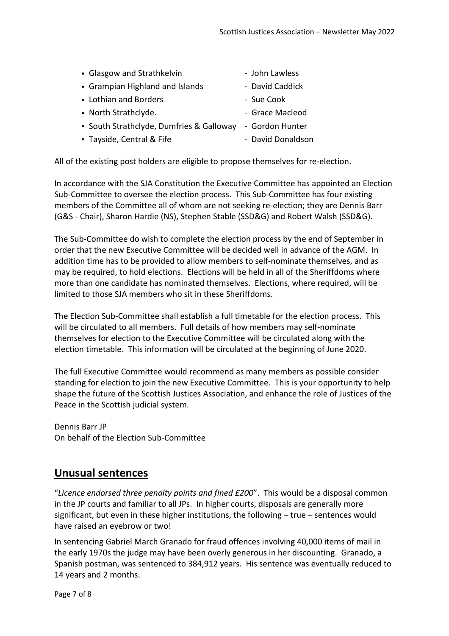| • Glasgow and Strathkelvin               | - John Lawless    |
|------------------------------------------|-------------------|
| • Grampian Highland and Islands          | - David Caddick   |
| • Lothian and Borders                    | - Sue Cook        |
| • North Strathclyde.                     | - Grace Macleod   |
| • South Strathclyde, Dumfries & Galloway | - Gordon Hunter   |
| • Tayside, Central & Fife                | - David Donaldson |
|                                          |                   |

All of the existing post holders are eligible to propose themselves for re-election.

In accordance with the SJA Constitution the Executive Committee has appointed an Election Sub-Committee to oversee the election process. This Sub-Committee has four existing members of the Committee all of whom are not seeking re-election; they are Dennis Barr (G&S - Chair), Sharon Hardie (NS), Stephen Stable (SSD&G) and Robert Walsh (SSD&G).

The Sub-Committee do wish to complete the election process by the end of September in order that the new Executive Committee will be decided well in advance of the AGM. In addition time has to be provided to allow members to self-nominate themselves, and as may be required, to hold elections. Elections will be held in all of the Sheriffdoms where more than one candidate has nominated themselves. Elections, where required, will be limited to those SJA members who sit in these Sheriffdoms.

The Election Sub-Committee shall establish a full timetable for the election process. This will be circulated to all members. Full details of how members may self-nominate themselves for election to the Executive Committee will be circulated along with the election timetable. This information will be circulated at the beginning of June 2020.

The full Executive Committee would recommend as many members as possible consider standing for election to join the new Executive Committee. This is your opportunity to help shape the future of the Scottish Justices Association, and enhance the role of Justices of the Peace in the Scottish judicial system.

Dennis Barr JP On behalf of the Election Sub-Committee

## **Unusual sentences**

"*Licence endorsed three penalty points and fined £200*". This would be a disposal common in the JP courts and familiar to all JPs. In higher courts, disposals are generally more significant, but even in these higher institutions, the following – true – sentences would have raised an eyebrow or two!

In sentencing Gabriel March Granado for fraud offences involving 40,000 items of mail in the early 1970s the judge may have been overly generous in her discounting. Granado, a Spanish postman, was sentenced to 384,912 years. His sentence was eventually reduced to 14 years and 2 months.